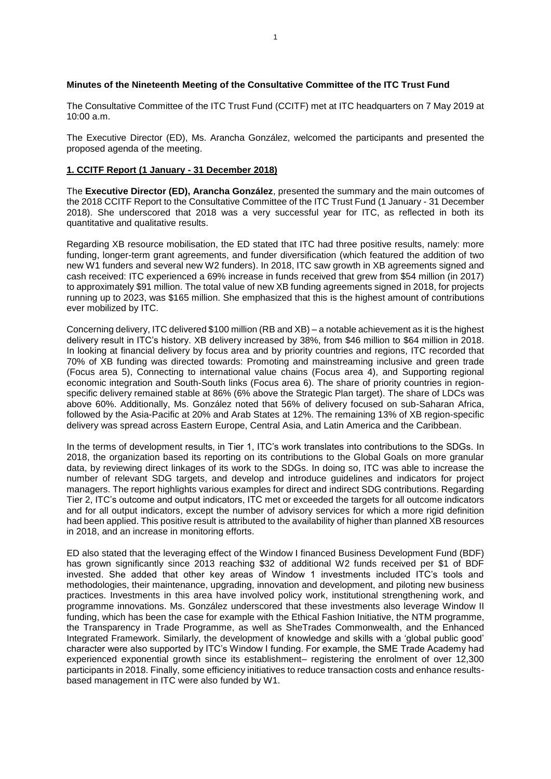## **Minutes of the Nineteenth Meeting of the Consultative Committee of the ITC Trust Fund**

The Consultative Committee of the ITC Trust Fund (CCITF) met at ITC headquarters on 7 May 2019 at 10:00 a.m.

The Executive Director (ED), Ms. Arancha González, welcomed the participants and presented the proposed agenda of the meeting.

# **1. CCITF Report (1 January - 31 December 2018)**

The **Executive Director (ED), Arancha González**, presented the summary and the main outcomes of the 2018 CCITF Report to the Consultative Committee of the ITC Trust Fund (1 January - 31 December 2018). She underscored that 2018 was a very successful year for ITC, as reflected in both its quantitative and qualitative results.

Regarding XB resource mobilisation, the ED stated that ITC had three positive results, namely: more funding, longer-term grant agreements, and funder diversification (which featured the addition of two new W1 funders and several new W2 funders). In 2018, ITC saw growth in XB agreements signed and cash received: ITC experienced a 69% increase in funds received that grew from \$54 million (in 2017) to approximately \$91 million. The total value of new XB funding agreements signed in 2018, for projects running up to 2023, was \$165 million. She emphasized that this is the highest amount of contributions ever mobilized by ITC.

Concerning delivery, ITC delivered \$100 million (RB and XB) – a notable achievement as it is the highest delivery result in ITC's history. XB delivery increased by 38%, from \$46 million to \$64 million in 2018. In looking at financial delivery by focus area and by priority countries and regions, ITC recorded that 70% of XB funding was directed towards: Promoting and mainstreaming inclusive and green trade (Focus area 5), Connecting to international value chains (Focus area 4), and Supporting regional economic integration and South-South links (Focus area 6). The share of priority countries in regionspecific delivery remained stable at 86% (6% above the Strategic Plan target). The share of LDCs was above 60%. Additionally, Ms. González noted that 56% of delivery focused on sub-Saharan Africa, followed by the Asia-Pacific at 20% and Arab States at 12%. The remaining 13% of XB region-specific delivery was spread across Eastern Europe, Central Asia, and Latin America and the Caribbean.

In the terms of development results, in Tier 1, ITC's work translates into contributions to the SDGs. In 2018, the organization based its reporting on its contributions to the Global Goals on more granular data, by reviewing direct linkages of its work to the SDGs. In doing so, ITC was able to increase the number of relevant SDG targets, and develop and introduce guidelines and indicators for project managers. The report highlights various examples for direct and indirect SDG contributions. Regarding Tier 2, ITC's outcome and output indicators, ITC met or exceeded the targets for all outcome indicators and for all output indicators, except the number of advisory services for which a more rigid definition had been applied. This positive result is attributed to the availability of higher than planned XB resources in 2018, and an increase in monitoring efforts.

ED also stated that the leveraging effect of the Window I financed Business Development Fund (BDF) has grown significantly since 2013 reaching \$32 of additional W2 funds received per \$1 of BDF invested. She added that other key areas of Window 1 investments included ITC's tools and methodologies, their maintenance, upgrading, innovation and development, and piloting new business practices. Investments in this area have involved policy work, institutional strengthening work, and programme innovations. Ms. González underscored that these investments also leverage Window II funding, which has been the case for example with the Ethical Fashion Initiative, the NTM programme, the Transparency in Trade Programme, as well as SheTrades Commonwealth, and the Enhanced Integrated Framework. Similarly, the development of knowledge and skills with a 'global public good' character were also supported by ITC's Window I funding. For example, the SME Trade Academy had experienced exponential growth since its establishment– registering the enrolment of over 12,300 participants in 2018. Finally, some efficiency initiatives to reduce transaction costs and enhance resultsbased management in ITC were also funded by W1.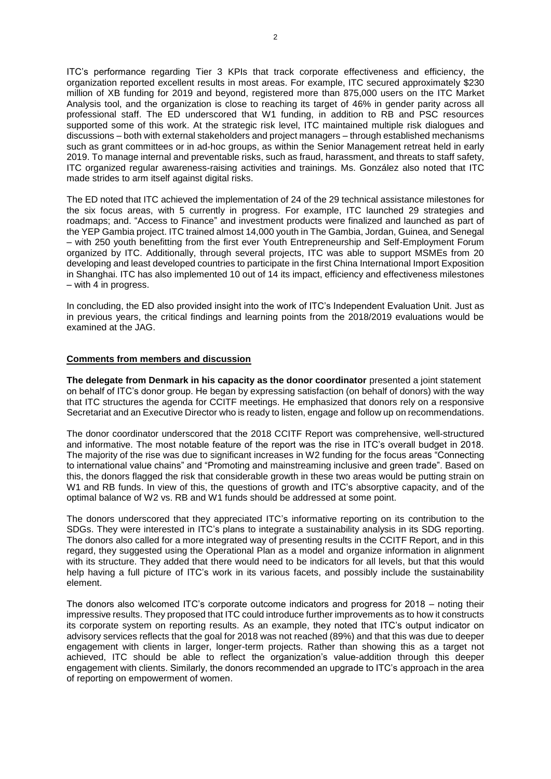ITC's performance regarding Tier 3 KPIs that track corporate effectiveness and efficiency, the organization reported excellent results in most areas. For example, ITC secured approximately \$230 million of XB funding for 2019 and beyond, registered more than 875,000 users on the ITC Market Analysis tool, and the organization is close to reaching its target of 46% in gender parity across all professional staff. The ED underscored that W1 funding, in addition to RB and PSC resources supported some of this work. At the strategic risk level, ITC maintained multiple risk dialogues and discussions – both with external stakeholders and project managers – through established mechanisms such as grant committees or in ad-hoc groups, as within the Senior Management retreat held in early 2019. To manage internal and preventable risks, such as fraud, harassment, and threats to staff safety, ITC organized regular awareness-raising activities and trainings. Ms. González also noted that ITC made strides to arm itself against digital risks.

The ED noted that ITC achieved the implementation of 24 of the 29 technical assistance milestones for the six focus areas, with 5 currently in progress. For example, ITC launched 29 strategies and roadmaps; and. "Access to Finance" and investment products were finalized and launched as part of the YEP Gambia project. ITC trained almost 14,000 youth in The Gambia, Jordan, Guinea, and Senegal – with 250 youth benefitting from the first ever Youth Entrepreneurship and Self-Employment Forum organized by ITC. Additionally, through several projects, ITC was able to support MSMEs from 20 developing and least developed countries to participate in the first China International Import Exposition in Shanghai. ITC has also implemented 10 out of 14 its impact, efficiency and effectiveness milestones – with 4 in progress.

In concluding, the ED also provided insight into the work of ITC's Independent Evaluation Unit. Just as in previous years, the critical findings and learning points from the 2018/2019 evaluations would be examined at the JAG.

# **Comments from members and discussion**

**The delegate from Denmark in his capacity as the donor coordinator** presented a joint statement on behalf of ITC's donor group. He began by expressing satisfaction (on behalf of donors) with the way that ITC structures the agenda for CCITF meetings. He emphasized that donors rely on a responsive Secretariat and an Executive Director who is ready to listen, engage and follow up on recommendations.

The donor coordinator underscored that the 2018 CCITF Report was comprehensive, well-structured and informative. The most notable feature of the report was the rise in ITC's overall budget in 2018. The majority of the rise was due to significant increases in W2 funding for the focus areas "Connecting to international value chains" and "Promoting and mainstreaming inclusive and green trade". Based on this, the donors flagged the risk that considerable growth in these two areas would be putting strain on W1 and RB funds. In view of this, the questions of growth and ITC's absorptive capacity, and of the optimal balance of W2 vs. RB and W1 funds should be addressed at some point.

The donors underscored that they appreciated ITC's informative reporting on its contribution to the SDGs. They were interested in ITC's plans to integrate a sustainability analysis in its SDG reporting. The donors also called for a more integrated way of presenting results in the CCITF Report, and in this regard, they suggested using the Operational Plan as a model and organize information in alignment with its structure. They added that there would need to be indicators for all levels, but that this would help having a full picture of ITC's work in its various facets, and possibly include the sustainability element.

The donors also welcomed ITC's corporate outcome indicators and progress for 2018 – noting their impressive results. They proposed that ITC could introduce further improvements as to how it constructs its corporate system on reporting results. As an example, they noted that ITC's output indicator on advisory services reflects that the goal for 2018 was not reached (89%) and that this was due to deeper engagement with clients in larger, longer-term projects. Rather than showing this as a target not achieved, ITC should be able to reflect the organization's value-addition through this deeper engagement with clients. Similarly, the donors recommended an upgrade to ITC's approach in the area of reporting on empowerment of women.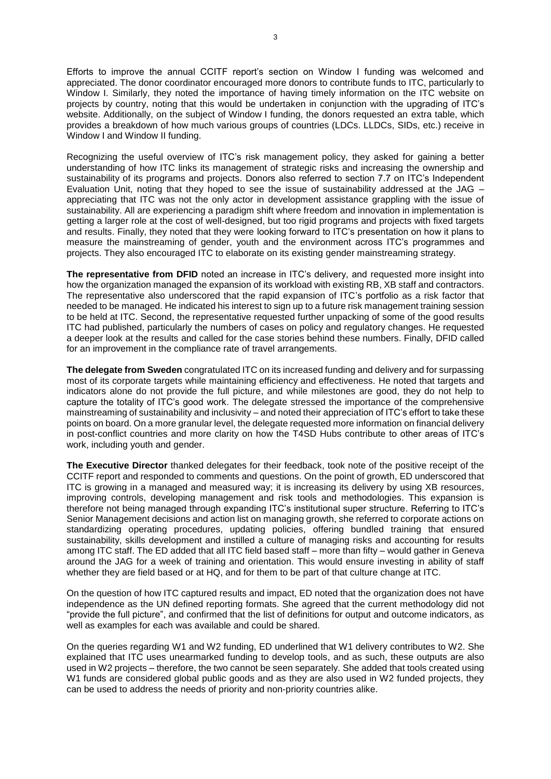Efforts to improve the annual CCITF report's section on Window I funding was welcomed and appreciated. The donor coordinator encouraged more donors to contribute funds to ITC, particularly to Window I. Similarly, they noted the importance of having timely information on the ITC website on projects by country, noting that this would be undertaken in conjunction with the upgrading of ITC's website. Additionally, on the subject of Window I funding, the donors requested an extra table, which provides a breakdown of how much various groups of countries (LDCs. LLDCs, SIDs, etc.) receive in Window I and Window II funding.

Recognizing the useful overview of ITC's risk management policy, they asked for gaining a better understanding of how ITC links its management of strategic risks and increasing the ownership and sustainability of its programs and projects. Donors also referred to section 7.7 on ITC's Independent Evaluation Unit, noting that they hoped to see the issue of sustainability addressed at the JAG – appreciating that ITC was not the only actor in development assistance grappling with the issue of sustainability. All are experiencing a paradigm shift where freedom and innovation in implementation is getting a larger role at the cost of well-designed, but too rigid programs and projects with fixed targets and results. Finally, they noted that they were looking forward to ITC's presentation on how it plans to measure the mainstreaming of gender, youth and the environment across ITC's programmes and projects. They also encouraged ITC to elaborate on its existing gender mainstreaming strategy.

**The representative from DFID** noted an increase in ITC's delivery, and requested more insight into how the organization managed the expansion of its workload with existing RB, XB staff and contractors. The representative also underscored that the rapid expansion of ITC's portfolio as a risk factor that needed to be managed. He indicated his interest to sign up to a future risk management training session to be held at ITC. Second, the representative requested further unpacking of some of the good results ITC had published, particularly the numbers of cases on policy and regulatory changes. He requested a deeper look at the results and called for the case stories behind these numbers. Finally, DFID called for an improvement in the compliance rate of travel arrangements.

**The delegate from Sweden** congratulated ITC on its increased funding and delivery and for surpassing most of its corporate targets while maintaining efficiency and effectiveness. He noted that targets and indicators alone do not provide the full picture, and while milestones are good, they do not help to capture the totality of ITC's good work. The delegate stressed the importance of the comprehensive mainstreaming of sustainability and inclusivity – and noted their appreciation of ITC's effort to take these points on board. On a more granular level, the delegate requested more information on financial delivery in post-conflict countries and more clarity on how the T4SD Hubs contribute to other areas of ITC's work, including youth and gender.

**The Executive Director** thanked delegates for their feedback, took note of the positive receipt of the CCITF report and responded to comments and questions. On the point of growth, ED underscored that ITC is growing in a managed and measured way; it is increasing its delivery by using XB resources, improving controls, developing management and risk tools and methodologies. This expansion is therefore not being managed through expanding ITC's institutional super structure. Referring to ITC's Senior Management decisions and action list on managing growth, she referred to corporate actions on standardizing operating procedures, updating policies, offering bundled training that ensured sustainability, skills development and instilled a culture of managing risks and accounting for results among ITC staff. The ED added that all ITC field based staff – more than fifty – would gather in Geneva around the JAG for a week of training and orientation. This would ensure investing in ability of staff whether they are field based or at HQ, and for them to be part of that culture change at ITC.

On the question of how ITC captured results and impact, ED noted that the organization does not have independence as the UN defined reporting formats. She agreed that the current methodology did not "provide the full picture", and confirmed that the list of definitions for output and outcome indicators, as well as examples for each was available and could be shared.

On the queries regarding W1 and W2 funding, ED underlined that W1 delivery contributes to W2. She explained that ITC uses unearmarked funding to develop tools, and as such, these outputs are also used in W2 projects – therefore, the two cannot be seen separately. She added that tools created using W1 funds are considered global public goods and as they are also used in W2 funded projects, they can be used to address the needs of priority and non-priority countries alike.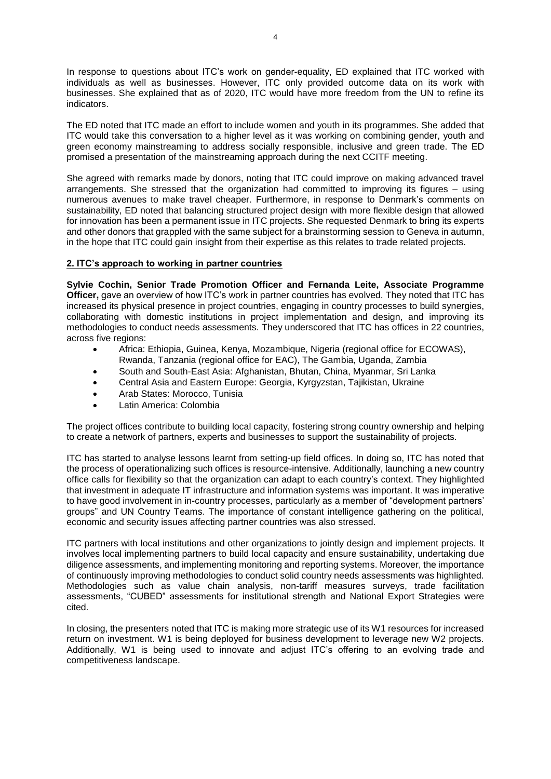In response to questions about ITC's work on gender-equality, ED explained that ITC worked with individuals as well as businesses. However, ITC only provided outcome data on its work with businesses. She explained that as of 2020, ITC would have more freedom from the UN to refine its indicators.

The ED noted that ITC made an effort to include women and youth in its programmes. She added that ITC would take this conversation to a higher level as it was working on combining gender, youth and green economy mainstreaming to address socially responsible, inclusive and green trade. The ED promised a presentation of the mainstreaming approach during the next CCITF meeting.

She agreed with remarks made by donors, noting that ITC could improve on making advanced travel arrangements. She stressed that the organization had committed to improving its figures – using numerous avenues to make travel cheaper. Furthermore, in response to Denmark's comments on sustainability, ED noted that balancing structured project design with more flexible design that allowed for innovation has been a permanent issue in ITC projects. She requested Denmark to bring its experts and other donors that grappled with the same subject for a brainstorming session to Geneva in autumn, in the hope that ITC could gain insight from their expertise as this relates to trade related projects.

# **2. ITC's approach to working in partner countries**

**Sylvie Cochin, Senior Trade Promotion Officer and Fernanda Leite, Associate Programme Officer,** gave an overview of how ITC's work in partner countries has evolved. They noted that ITC has increased its physical presence in project countries, engaging in country processes to build synergies, collaborating with domestic institutions in project implementation and design, and improving its methodologies to conduct needs assessments. They underscored that ITC has offices in 22 countries, across five regions:

- Africa: Ethiopia, Guinea, Kenya, Mozambique, Nigeria (regional office for ECOWAS), Rwanda, Tanzania (regional office for EAC), The Gambia, Uganda, Zambia
- South and South-East Asia: Afghanistan, Bhutan, China, Myanmar, Sri Lanka
- Central Asia and Eastern Europe: Georgia, Kyrgyzstan, Tajikistan, Ukraine
- Arab States: Morocco, Tunisia
- Latin America: Colombia

The project offices contribute to building local capacity, fostering strong country ownership and helping to create a network of partners, experts and businesses to support the sustainability of projects.

ITC has started to analyse lessons learnt from setting-up field offices. In doing so, ITC has noted that the process of operationalizing such offices is resource-intensive. Additionally, launching a new country office calls for flexibility so that the organization can adapt to each country's context. They highlighted that investment in adequate IT infrastructure and information systems was important. It was imperative to have good involvement in in-country processes, particularly as a member of "development partners' groups" and UN Country Teams. The importance of constant intelligence gathering on the political, economic and security issues affecting partner countries was also stressed.

ITC partners with local institutions and other organizations to jointly design and implement projects. It involves local implementing partners to build local capacity and ensure sustainability, undertaking due diligence assessments, and implementing monitoring and reporting systems. Moreover, the importance of continuously improving methodologies to conduct solid country needs assessments was highlighted. Methodologies such as value chain analysis, non-tariff measures surveys, trade facilitation assessments, "CUBED" assessments for institutional strength and National Export Strategies were cited.

In closing, the presenters noted that ITC is making more strategic use of its W1 resources for increased return on investment. W1 is being deployed for business development to leverage new W2 projects. Additionally, W1 is being used to innovate and adjust ITC's offering to an evolving trade and competitiveness landscape.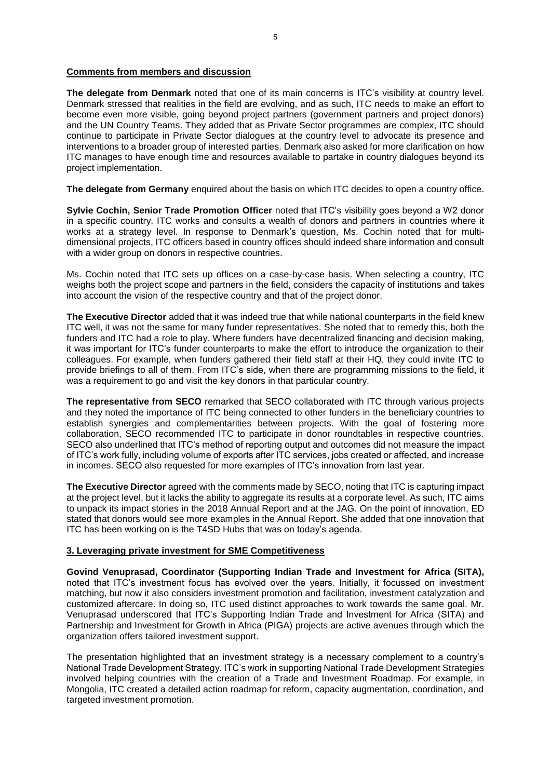# **Comments from members and discussion**

**The delegate from Denmark** noted that one of its main concerns is ITC's visibility at country level. Denmark stressed that realities in the field are evolving, and as such, ITC needs to make an effort to become even more visible, going beyond project partners (government partners and project donors) and the UN Country Teams. They added that as Private Sector programmes are complex, ITC should continue to participate in Private Sector dialogues at the country level to advocate its presence and interventions to a broader group of interested parties. Denmark also asked for more clarification on how ITC manages to have enough time and resources available to partake in country dialogues beyond its project implementation.

**The delegate from Germany** enquired about the basis on which ITC decides to open a country office.

**Sylvie Cochin, Senior Trade Promotion Officer** noted that ITC's visibility goes beyond a W2 donor in a specific country. ITC works and consults a wealth of donors and partners in countries where it works at a strategy level. In response to Denmark's question, Ms. Cochin noted that for multidimensional projects, ITC officers based in country offices should indeed share information and consult with a wider group on donors in respective countries.

Ms. Cochin noted that ITC sets up offices on a case-by-case basis. When selecting a country, ITC weighs both the project scope and partners in the field, considers the capacity of institutions and takes into account the vision of the respective country and that of the project donor.

**The Executive Director** added that it was indeed true that while national counterparts in the field knew ITC well, it was not the same for many funder representatives. She noted that to remedy this, both the funders and ITC had a role to play. Where funders have decentralized financing and decision making, it was important for ITC's funder counterparts to make the effort to introduce the organization to their colleagues. For example, when funders gathered their field staff at their HQ, they could invite ITC to provide briefings to all of them. From ITC's side, when there are programming missions to the field, it was a requirement to go and visit the key donors in that particular country.

**The representative from SECO** remarked that SECO collaborated with ITC through various projects and they noted the importance of ITC being connected to other funders in the beneficiary countries to establish synergies and complementarities between projects. With the goal of fostering more collaboration, SECO recommended ITC to participate in donor roundtables in respective countries. SECO also underlined that ITC's method of reporting output and outcomes did not measure the impact of ITC's work fully, including volume of exports after ITC services, jobs created or affected, and increase in incomes. SECO also requested for more examples of ITC's innovation from last year.

**The Executive Director** agreed with the comments made by SECO, noting that ITC is capturing impact at the project level, but it lacks the ability to aggregate its results at a corporate level. As such, ITC aims to unpack its impact stories in the 2018 Annual Report and at the JAG. On the point of innovation, ED stated that donors would see more examples in the Annual Report. She added that one innovation that ITC has been working on is the T4SD Hubs that was on today's agenda.

# **3. Leveraging private investment for SME Competitiveness**

**Govind Venuprasad, Coordinator (Supporting Indian Trade and Investment for Africa (SITA),**  noted that ITC's investment focus has evolved over the years. Initially, it focussed on investment matching, but now it also considers investment promotion and facilitation, investment catalyzation and customized aftercare. In doing so, ITC used distinct approaches to work towards the same goal. Mr. Venuprasad underscored that ITC's Supporting Indian Trade and Investment for Africa (SITA) and Partnership and Investment for Growth in Africa (PIGA) projects are active avenues through which the organization offers tailored investment support.

The presentation highlighted that an investment strategy is a necessary complement to a country's National Trade Development Strategy. ITC's work in supporting National Trade Development Strategies involved helping countries with the creation of a Trade and Investment Roadmap. For example, in Mongolia, ITC created a detailed action roadmap for reform, capacity augmentation, coordination, and targeted investment promotion.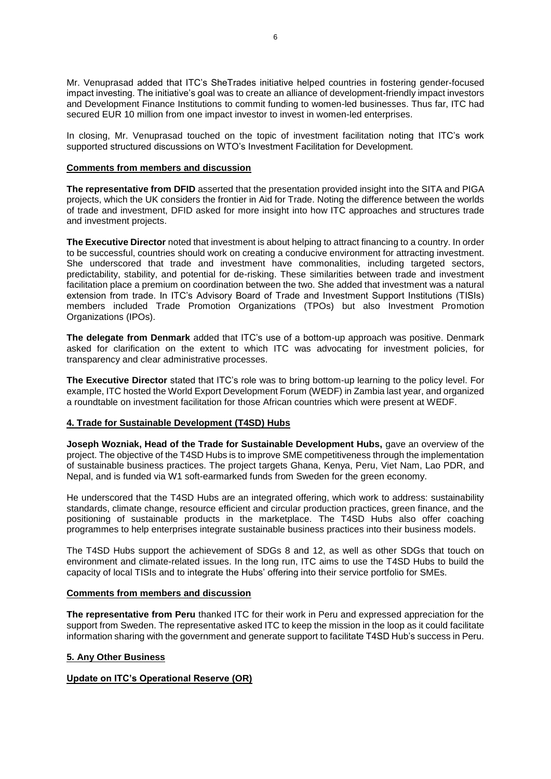Mr. Venuprasad added that ITC's SheTrades initiative helped countries in fostering gender-focused impact investing. The initiative's goal was to create an alliance of development-friendly impact investors and Development Finance Institutions to commit funding to women-led businesses. Thus far, ITC had secured EUR 10 million from one impact investor to invest in women-led enterprises.

In closing, Mr. Venuprasad touched on the topic of investment facilitation noting that ITC's work supported structured discussions on WTO's Investment Facilitation for Development.

#### **Comments from members and discussion**

**The representative from DFID** asserted that the presentation provided insight into the SITA and PIGA projects, which the UK considers the frontier in Aid for Trade. Noting the difference between the worlds of trade and investment, DFID asked for more insight into how ITC approaches and structures trade and investment projects.

**The Executive Director** noted that investment is about helping to attract financing to a country. In order to be successful, countries should work on creating a conducive environment for attracting investment. She underscored that trade and investment have commonalities, including targeted sectors, predictability, stability, and potential for de-risking. These similarities between trade and investment facilitation place a premium on coordination between the two. She added that investment was a natural extension from trade. In ITC's Advisory Board of Trade and Investment Support Institutions (TISIs) members included Trade Promotion Organizations (TPOs) but also Investment Promotion Organizations (IPOs).

**The delegate from Denmark** added that ITC's use of a bottom-up approach was positive. Denmark asked for clarification on the extent to which ITC was advocating for investment policies, for transparency and clear administrative processes.

**The Executive Director** stated that ITC's role was to bring bottom-up learning to the policy level. For example, ITC hosted the World Export Development Forum (WEDF) in Zambia last year, and organized a roundtable on investment facilitation for those African countries which were present at WEDF.

### **4. Trade for Sustainable Development (T4SD) Hubs**

**Joseph Wozniak, Head of the Trade for Sustainable Development Hubs,** gave an overview of the project. The objective of the T4SD Hubs is to improve SME competitiveness through the implementation of sustainable business practices. The project targets Ghana, Kenya, Peru, Viet Nam, Lao PDR, and Nepal, and is funded via W1 soft-earmarked funds from Sweden for the green economy.

He underscored that the T4SD Hubs are an integrated offering, which work to address: sustainability standards, climate change, resource efficient and circular production practices, green finance, and the positioning of sustainable products in the marketplace. The T4SD Hubs also offer coaching programmes to help enterprises integrate sustainable business practices into their business models.

The T4SD Hubs support the achievement of SDGs 8 and 12, as well as other SDGs that touch on environment and climate-related issues. In the long run, ITC aims to use the T4SD Hubs to build the capacity of local TISIs and to integrate the Hubs' offering into their service portfolio for SMEs.

## **Comments from members and discussion**

**The representative from Peru** thanked ITC for their work in Peru and expressed appreciation for the support from Sweden. The representative asked ITC to keep the mission in the loop as it could facilitate information sharing with the government and generate support to facilitate T4SD Hub's success in Peru.

### **5. Any Other Business**

### **Update on ITC's Operational Reserve (OR)**